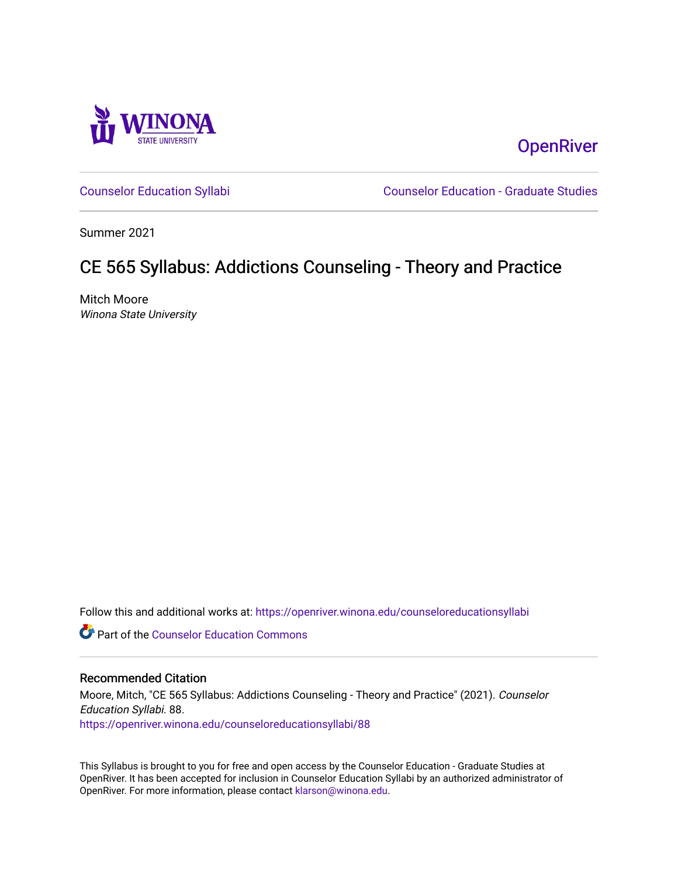

**OpenRiver** 

[Counselor Education Syllabi](https://openriver.winona.edu/counseloreducationsyllabi) [Counselor Education - Graduate Studies](https://openriver.winona.edu/counseloreducation) 

Summer 2021

# CE 565 Syllabus: Addictions Counseling - Theory and Practice

Mitch Moore Winona State University

Follow this and additional works at: [https://openriver.winona.edu/counseloreducationsyllabi](https://openriver.winona.edu/counseloreducationsyllabi?utm_source=openriver.winona.edu%2Fcounseloreducationsyllabi%2F88&utm_medium=PDF&utm_campaign=PDFCoverPages)

Part of the [Counselor Education Commons](http://network.bepress.com/hgg/discipline/1278?utm_source=openriver.winona.edu%2Fcounseloreducationsyllabi%2F88&utm_medium=PDF&utm_campaign=PDFCoverPages) 

#### Recommended Citation

Moore, Mitch, "CE 565 Syllabus: Addictions Counseling - Theory and Practice" (2021). Counselor Education Syllabi. 88. [https://openriver.winona.edu/counseloreducationsyllabi/88](https://openriver.winona.edu/counseloreducationsyllabi/88?utm_source=openriver.winona.edu%2Fcounseloreducationsyllabi%2F88&utm_medium=PDF&utm_campaign=PDFCoverPages) 

This Syllabus is brought to you for free and open access by the Counselor Education - Graduate Studies at OpenRiver. It has been accepted for inclusion in Counselor Education Syllabi by an authorized administrator of OpenRiver. For more information, please contact [klarson@winona.edu](mailto:klarson@winona.edu).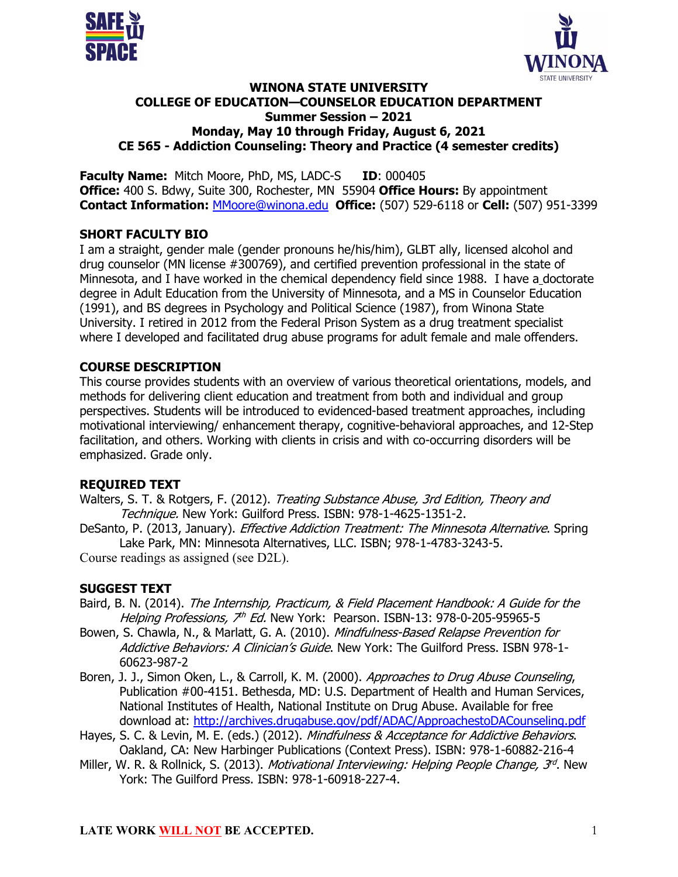



#### **WINONA STATE UNIVERSITY COLLEGE OF EDUCATION—COUNSELOR EDUCATION DEPARTMENT Summer Session – 2021 Monday, May 10 through Friday, August 6, 2021 CE 565 - Addiction Counseling: Theory and Practice (4 semester credits)**

**Faculty Name:** Mitch Moore, PhD, MS, LADC-S **ID**: 000405 **Office:** 400 S. Bdwy, Suite 300, Rochester, MN 55904 **Office Hours:** By appointment **Contact Information:** MMoore@winona.edu **Office:** (507) 529-6118 or **Cell:** (507) 951-3399

#### **SHORT FACULTY BIO**

I am a straight, gender male (gender pronouns he/his/him), GLBT ally, licensed alcohol and drug counselor (MN license #300769), and certified prevention professional in the state of Minnesota, and I have worked in the chemical dependency field since 1988. I have a doctorate degree in Adult Education from the University of Minnesota, and a MS in Counselor Education (1991), and BS degrees in Psychology and Political Science (1987), from Winona State University. I retired in 2012 from the Federal Prison System as a drug treatment specialist where I developed and facilitated drug abuse programs for adult female and male offenders.

# **COURSE DESCRIPTION**

This course provides students with an overview of various theoretical orientations, models, and methods for delivering client education and treatment from both and individual and group perspectives. Students will be introduced to evidenced-based treatment approaches, including motivational interviewing/ enhancement therapy, cognitive-behavioral approaches, and 12-Step facilitation, and others. Working with clients in crisis and with co-occurring disorders will be emphasized. Grade only.

# **REQUIRED TEXT**

- Walters, S. T. & Rotgers, F. (2012). Treating Substance Abuse, 3rd Edition, Theory and Technique. New York: Guilford Press. ISBN: 978-1-4625-1351-2.
- DeSanto, P. (2013, January). *Effective Addiction Treatment: The Minnesota Alternative*. Spring Lake Park, MN: Minnesota Alternatives, LLC. ISBN; 978-1-4783-3243-5.

Course readings as assigned (see D2L).

# **SUGGEST TEXT**

- Baird, B. N. (2014). The Internship, Practicum, & Field Placement Handbook: A Guide for the Helping Professions,  $\vec{\lambda}^h$  Ed. New York: Pearson. ISBN-13: 978-0-205-95965-5
- Bowen, S. Chawla, N., & Marlatt, G. A. (2010). Mindfulness-Based Relapse Prevention for Addictive Behaviors: A Clinician's Guide. New York: The Guilford Press. ISBN 978-1-60623-987-2
- Boren, J. J., Simon Oken, L., & Carroll, K. M. (2000). Approaches to Drug Abuse Counseling, Publication #00-4151. Bethesda, MD: U.S. Department of Health and Human Services, National Institutes of Health, National Institute on Drug Abuse. Available for free download at: http://archives.drugabuse.gov/pdf/ADAC/ApproachestoDACounseling.pdf
- Hayes, S. C. & Levin, M. E. (eds.) (2012). Mindfulness & Acceptance for Addictive Behaviors. Oakland, CA: New Harbinger Publications (Context Press). ISBN: 978-1-60882-216-4
- Miller, W. R. & Rollnick, S. (2013). *Motivational Interviewing: Helping People Change, 3<sup>rd</sup>.* New York: The Guilford Press. ISBN: 978-1-60918-227-4.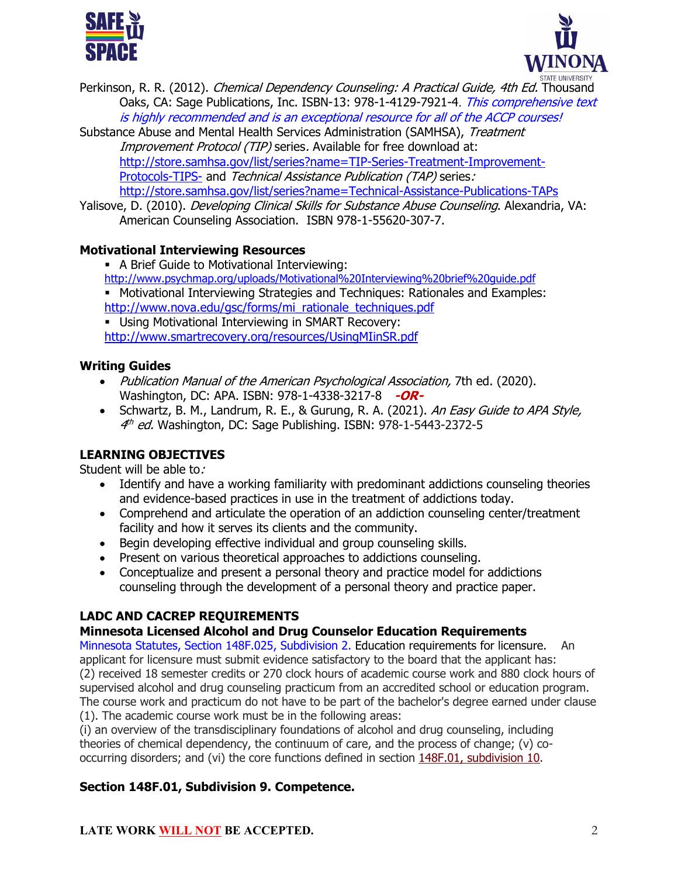



- Perkinson, R. R. (2012). *Chemical Dependency Counseling: A Practical Guide, 4th Ed.* Thousand Oaks, CA: Sage Publications, Inc. ISBN-13: 978-1-4129-7921-4. This comprehensive text is highly recommended and is an exceptional resource for all of the ACCP courses!
- Substance Abuse and Mental Health Services Administration (SAMHSA), Treatment Improvement Protocol (TIP) series. Available for free download at: http://store.samhsa.gov/list/series?name=TIP-Series-Treatment-Improvement-Protocols-TIPS- and Technical Assistance Publication (TAP) series: http://store.samhsa.gov/list/series?name=Technical-Assistance-Publications-TAPs
- Yalisove, D. (2010). *Developing Clinical Skills for Substance Abuse Counseling*. Alexandria, VA: American Counseling Association. ISBN 978-1-55620-307-7.

# **Motivational Interviewing Resources**

- § A Brief Guide to Motivational Interviewing: http://www.psychmap.org/uploads/Motivational%20Interviewing%20brief%20guide.pdf
- § Motivational Interviewing Strategies and Techniques: Rationales and Examples: http://www.nova.edu/gsc/forms/mi\_rationale\_techniques.pdf
- § Using Motivational Interviewing in SMART Recovery: http://www.smartrecovery.org/resources/UsingMIinSR.pdf

#### **Writing Guides**

- Publication Manual of the American Psychological Association, 7th ed. (2020). Washington, DC: APA. ISBN: 978-1-4338-3217-8 **-OR-**
- Schwartz, B. M., Landrum, R. E., & Gurung, R. A. (2021). An Easy Guide to APA Style, 4<sup>th</sup> ed. Washington, DC: Sage Publishing. ISBN: 978-1-5443-2372-5

# **LEARNING OBJECTIVES**

Student will be able to:

- Identify and have a working familiarity with predominant addictions counseling theories and evidence-based practices in use in the treatment of addictions today.
- Comprehend and articulate the operation of an addiction counseling center/treatment facility and how it serves its clients and the community.
- Begin developing effective individual and group counseling skills.
- Present on various theoretical approaches to addictions counseling.
- Conceptualize and present a personal theory and practice model for addictions counseling through the development of a personal theory and practice paper.

# **LADC AND CACREP REQUIREMENTS**

# **Minnesota Licensed Alcohol and Drug Counselor Education Requirements**

Minnesota Statutes, Section 148F.025, Subdivision 2. Education requirements for licensure. An applicant for licensure must submit evidence satisfactory to the board that the applicant has: (2) received 18 semester credits or 270 clock hours of academic course work and 880 clock hours of supervised alcohol and drug counseling practicum from an accredited school or education program. The course work and practicum do not have to be part of the bachelor's degree earned under clause (1). The academic course work must be in the following areas:

(i) an overview of the transdisciplinary foundations of alcohol and drug counseling, including theories of chemical dependency, the continuum of care, and the process of change; (v) cooccurring disorders; and (vi) the core functions defined in section 148F.01, subdivision 10.

# **Section 148F.01, Subdivision 9. Competence.**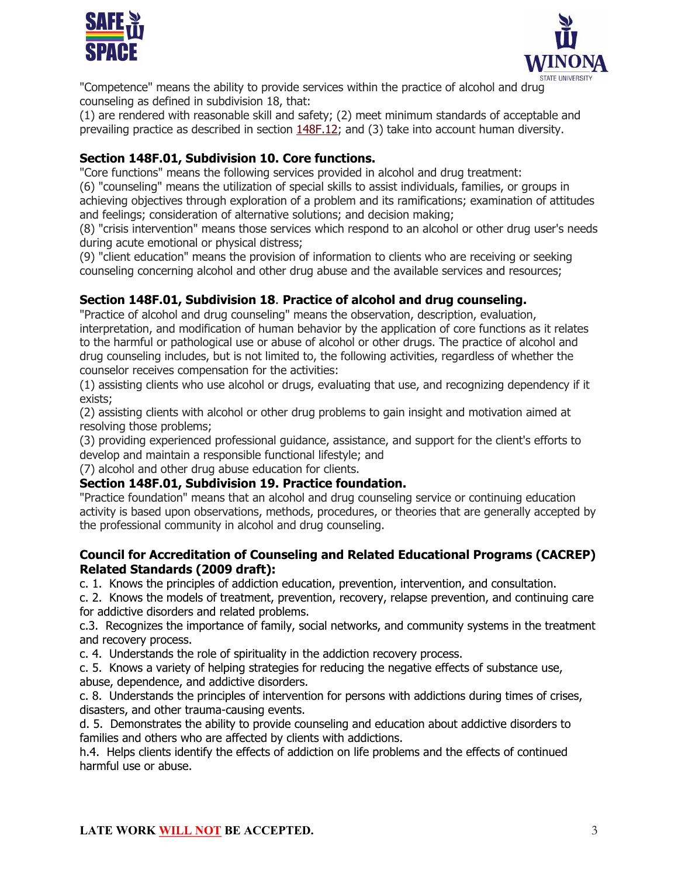



"Competence" means the ability to provide services within the practice of alcohol and drug counseling as defined in subdivision 18, that:

(1) are rendered with reasonable skill and safety; (2) meet minimum standards of acceptable and prevailing practice as described in section 148F.12; and (3) take into account human diversity.

# **Section 148F.01, Subdivision 10. Core functions.**

"Core functions" means the following services provided in alcohol and drug treatment:

(6) "counseling" means the utilization of special skills to assist individuals, families, or groups in achieving objectives through exploration of a problem and its ramifications; examination of attitudes and feelings; consideration of alternative solutions; and decision making;

(8) "crisis intervention" means those services which respond to an alcohol or other drug user's needs during acute emotional or physical distress;

(9) "client education" means the provision of information to clients who are receiving or seeking counseling concerning alcohol and other drug abuse and the available services and resources;

# **Section 148F.01, Subdivision 18**. **Practice of alcohol and drug counseling.**

"Practice of alcohol and drug counseling" means the observation, description, evaluation, interpretation, and modification of human behavior by the application of core functions as it relates to the harmful or pathological use or abuse of alcohol or other drugs. The practice of alcohol and drug counseling includes, but is not limited to, the following activities, regardless of whether the counselor receives compensation for the activities:

(1) assisting clients who use alcohol or drugs, evaluating that use, and recognizing dependency if it exists;

(2) assisting clients with alcohol or other drug problems to gain insight and motivation aimed at resolving those problems;

(3) providing experienced professional guidance, assistance, and support for the client's efforts to develop and maintain a responsible functional lifestyle; and

(7) alcohol and other drug abuse education for clients.

#### **Section 148F.01, Subdivision 19. Practice foundation.**

"Practice foundation" means that an alcohol and drug counseling service or continuing education activity is based upon observations, methods, procedures, or theories that are generally accepted by the professional community in alcohol and drug counseling.

#### **Council for Accreditation of Counseling and Related Educational Programs (CACREP) Related Standards (2009 draft):**

c. 1. Knows the principles of addiction education, prevention, intervention, and consultation.

c. 2. Knows the models of treatment, prevention, recovery, relapse prevention, and continuing care for addictive disorders and related problems.

c.3. Recognizes the importance of family, social networks, and community systems in the treatment and recovery process.

c. 4. Understands the role of spirituality in the addiction recovery process.

c. 5. Knows a variety of helping strategies for reducing the negative effects of substance use, abuse, dependence, and addictive disorders.

c. 8. Understands the principles of intervention for persons with addictions during times of crises, disasters, and other trauma-causing events.

d. 5. Demonstrates the ability to provide counseling and education about addictive disorders to families and others who are affected by clients with addictions.

h.4. Helps clients identify the effects of addiction on life problems and the effects of continued harmful use or abuse.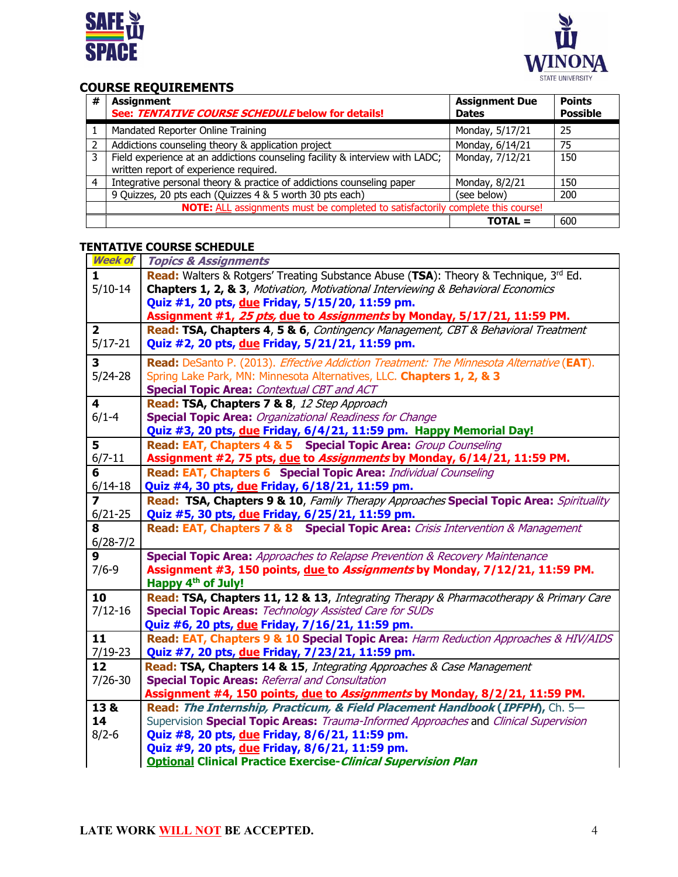



# **COURSE REQUIREMENTS**

| #              | <b>Assignment</b><br>See: TENTATIVE COURSE SCHEDULE below for details!                                                 | <b>Assignment Due</b><br><b>Dates</b> | <b>Points</b><br><b>Possible</b> |  |  |
|----------------|------------------------------------------------------------------------------------------------------------------------|---------------------------------------|----------------------------------|--|--|
|                | Mandated Reporter Online Training                                                                                      | Monday, 5/17/21                       | 25                               |  |  |
| 2              | Addictions counseling theory & application project                                                                     | Monday, 6/14/21                       | 75                               |  |  |
| $\overline{3}$ | Field experience at an addictions counseling facility & interview with LADC;<br>written report of experience required. | Monday, 7/12/21                       | 150                              |  |  |
| $\overline{4}$ | Integrative personal theory & practice of addictions counseling paper                                                  | Monday, 8/2/21                        | 150                              |  |  |
|                | 9 Quizzes, 20 pts each (Quizzes 4 & 5 worth 30 pts each)                                                               | (see below)                           | 200                              |  |  |
|                | NOTE: ALL assignments must be completed to satisfactorily complete this course!                                        |                                       |                                  |  |  |
|                |                                                                                                                        | $TOTAL =$                             | 600                              |  |  |

# **TENTATIVE COURSE SCHEDULE**

| <b>Week of</b>          | <b>Topics &amp; Assignments</b>                                                             |  |  |  |  |  |  |
|-------------------------|---------------------------------------------------------------------------------------------|--|--|--|--|--|--|
| 1.                      | <b>Read:</b> Walters & Rotgers' Treating Substance Abuse (TSA): Theory & Technique, 3rd Ed. |  |  |  |  |  |  |
| $5/10-14$               | Chapters 1, 2, & 3, Motivation, Motivational Interviewing & Behavioral Economics            |  |  |  |  |  |  |
|                         | Quiz #1, 20 pts, due Friday, 5/15/20, 11:59 pm.                                             |  |  |  |  |  |  |
|                         | Assignment #1, 25 pts, due to Assignments by Monday, 5/17/21, 11:59 PM.                     |  |  |  |  |  |  |
| $\overline{\mathbf{2}}$ | Read: TSA, Chapters 4, 5 & 6, Contingency Management, CBT & Behavioral Treatment            |  |  |  |  |  |  |
| $5/17 - 21$             | Quiz #2, 20 pts, due Friday, 5/21/21, 11:59 pm.                                             |  |  |  |  |  |  |
| 3                       | Read: DeSanto P. (2013). Effective Addiction Treatment: The Minnesota Alternative (EAT).    |  |  |  |  |  |  |
| $5/24-28$               | Spring Lake Park, MN: Minnesota Alternatives, LLC. Chapters 1, 2, & 3                       |  |  |  |  |  |  |
|                         | <b>Special Topic Area: Contextual CBT and ACT</b>                                           |  |  |  |  |  |  |
| $\overline{\mathbf{4}}$ | Read: TSA, Chapters 7 & 8, 12 Step Approach                                                 |  |  |  |  |  |  |
| $6/1 - 4$               | <b>Special Topic Area: Organizational Readiness for Change</b>                              |  |  |  |  |  |  |
|                         |                                                                                             |  |  |  |  |  |  |
| 5                       | Quiz #3, 20 pts, due Friday, 6/4/21, 11:59 pm. Happy Memorial Day!                          |  |  |  |  |  |  |
| $6/7 - 11$              | <b>Read: EAT, Chapters 4 &amp; 5 Special Topic Area: Group Counseling</b>                   |  |  |  |  |  |  |
| 6                       | Assignment #2, 75 pts, due to Assignments by Monday, 6/14/21, 11:59 PM.                     |  |  |  |  |  |  |
|                         | Read: EAT, Chapters 6 Special Topic Area: Individual Counseling                             |  |  |  |  |  |  |
| $6/14 - 18$             | Quiz #4, 30 pts, due Friday, 6/18/21, 11:59 pm.                                             |  |  |  |  |  |  |
| $\overline{\mathbf{z}}$ | Read: TSA, Chapters 9 & 10, Family Therapy Approaches Special Topic Area: Spirituality      |  |  |  |  |  |  |
| $6/21 - 25$             | Quiz #5, 30 pts, due Friday, 6/25/21, 11:59 pm.                                             |  |  |  |  |  |  |
| 8                       | Read: EAT, Chapters 7 & 8 Special Topic Area: Crisis Intervention & Management              |  |  |  |  |  |  |
| $6/28-7/2$              |                                                                                             |  |  |  |  |  |  |
| $\boldsymbol{9}$        | <b>Special Topic Area:</b> Approaches to Relapse Prevention & Recovery Maintenance          |  |  |  |  |  |  |
| $7/6 - 9$               | Assignment #3, 150 points, due to Assignments by Monday, 7/12/21, 11:59 PM.                 |  |  |  |  |  |  |
|                         | Happy 4 <sup>th</sup> of July!                                                              |  |  |  |  |  |  |
| 10                      | Read: TSA, Chapters 11, 12 & 13, Integrating Therapy & Pharmacotherapy & Primary Care       |  |  |  |  |  |  |
| $7/12 - 16$             | <b>Special Topic Areas: Technology Assisted Care for SUDs</b>                               |  |  |  |  |  |  |
|                         | Quiz #6, 20 pts, due Friday, 7/16/21, 11:59 pm.                                             |  |  |  |  |  |  |
| 11                      | Read: EAT, Chapters 9 & 10 Special Topic Area: Harm Reduction Approaches & HIV/AIDS         |  |  |  |  |  |  |
| $7/19 - 23$             | Quiz #7, 20 pts, due Friday, 7/23/21, 11:59 pm.                                             |  |  |  |  |  |  |
| 12                      | Read: TSA, Chapters 14 & 15, Integrating Approaches & Case Management                       |  |  |  |  |  |  |
| $7/26 - 30$             | <b>Special Topic Areas: Referral and Consultation</b>                                       |  |  |  |  |  |  |
|                         | Assignment #4, 150 points, due to Assignments by Monday, 8/2/21, 11:59 PM.                  |  |  |  |  |  |  |
| 13 &                    | Read: The Internship, Practicum, & Field Placement Handbook (IPFPH), Ch. 5-                 |  |  |  |  |  |  |
| 14                      | Supervision Special Topic Areas: Trauma-Informed Approaches and Clinical Supervision        |  |  |  |  |  |  |
| $8/2 - 6$               | Quiz #8, 20 pts, due Friday, 8/6/21, 11:59 pm.                                              |  |  |  |  |  |  |
|                         | Quiz #9, 20 pts, due Friday, 8/6/21, 11:59 pm.                                              |  |  |  |  |  |  |
|                         | <b>Optional Clinical Practice Exercise-Clinical Supervision Plan</b>                        |  |  |  |  |  |  |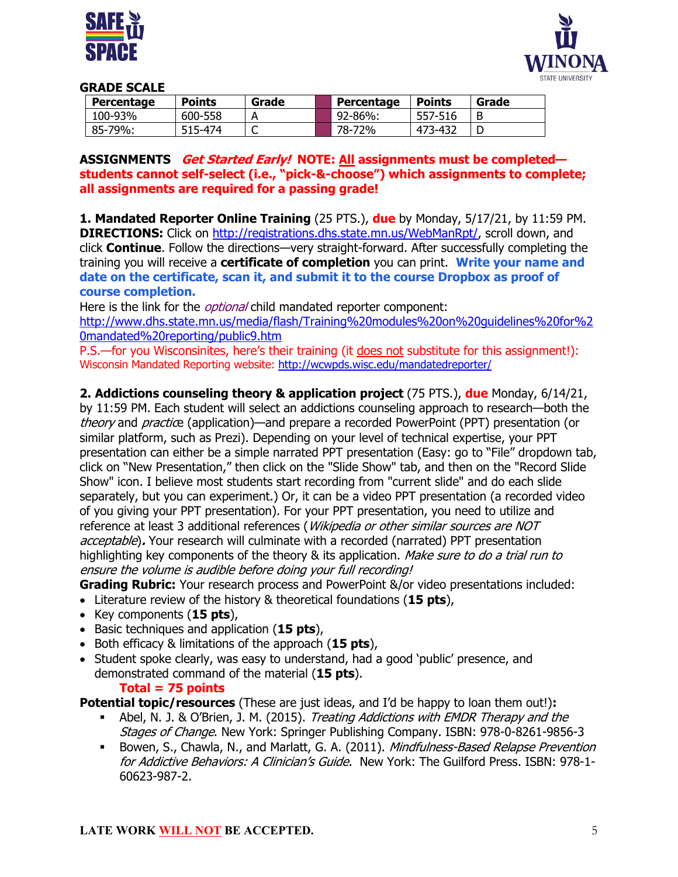



#### **GRADE SCALE**

| <b>Percentage</b> | <b>Points</b> | Grade | Percentage | <b>Points</b> | Grade |
|-------------------|---------------|-------|------------|---------------|-------|
| 100-93%           | 600-558       |       | 92-86%:    | 557-516       | B     |
| 85-79%:           | 515-474       |       | 78-72%     | 473-432       |       |

#### **ASSIGNMENTS Get Started Early! NOTE: All assignments must be completed students cannot self-select (i.e., "pick-&-choose") which assignments to complete; all assignments are required for a passing grade!**

**1. Mandated Reporter Online Training** (25 PTS.), **due** by Monday, 5/17/21, by 11:59 PM. **DIRECTIONS:** Click on http://registrations.dhs.state.mn.us/WebManRpt/, scroll down, and click **Continue**. Follow the directions—very straight-forward. After successfully completing the training you will receive a **certificate of completion** you can print. **Write your name and date on the certificate, scan it, and submit it to the course Dropbox as proof of course completion.**

Here is the link for the *optional* child mandated reporter component:

http://www.dhs.state.mn.us/media/flash/Training%20modules%20on%20guidelines%20for%2 0mandated%20reporting/public9.htm

P.S.—for you Wisconsinites, here's their training (it does not substitute for this assignment!): Wisconsin Mandated Reporting website: http://wcwpds.wisc.edu/mandatedreporter/

**2. Addictions counseling theory & application project** (75 PTS.), **due** Monday, 6/14/21,

by 11:59 PM. Each student will select an addictions counseling approach to research—both the theory and practice (application)—and prepare a recorded PowerPoint (PPT) presentation (or similar platform, such as Prezi). Depending on your level of technical expertise, your PPT presentation can either be a simple narrated PPT presentation (Easy: go to "File" dropdown tab, click on "New Presentation," then click on the "Slide Show" tab, and then on the "Record Slide Show" icon. I believe most students start recording from "current slide" and do each slide separately, but you can experiment.) Or, it can be a video PPT presentation (a recorded video of you giving your PPT presentation). For your PPT presentation, you need to utilize and reference at least 3 additional references (*Wikipedia or other similar sources are NOT* acceptable)**.** Your research will culminate with a recorded (narrated) PPT presentation highlighting key components of the theory & its application. *Make sure to do a trial run to* ensure the volume is audible before doing your full recording!

**Grading Rubric:** Your research process and PowerPoint &/or video presentations included:

- Literature review of the history & theoretical foundations (**15 pts**),
- Key components (**15 pts**),
- Basic techniques and application (**15 pts**),
- Both efficacy & limitations of the approach (**15 pts**),
- Student spoke clearly, was easy to understand, had a good 'public' presence, and demonstrated command of the material (**15 pts**).

# **Total = 75 points**

**Potential topic/resources** (These are just ideas, and I'd be happy to loan them out!)**:**

- Abel, N. J. & O'Brien, J. M. (2015). Treating Addictions with EMDR Therapy and the Stages of Change. New York: Springer Publishing Company. ISBN: 978-0-8261-9856-3
- <sup>■</sup> Bowen, S., Chawla, N., and Marlatt, G. A. (2011). Mindfulness-Based Relapse Prevention for Addictive Behaviors: A Clinician's Guide. New York: The Guilford Press. ISBN: 978-1-60623-987-2.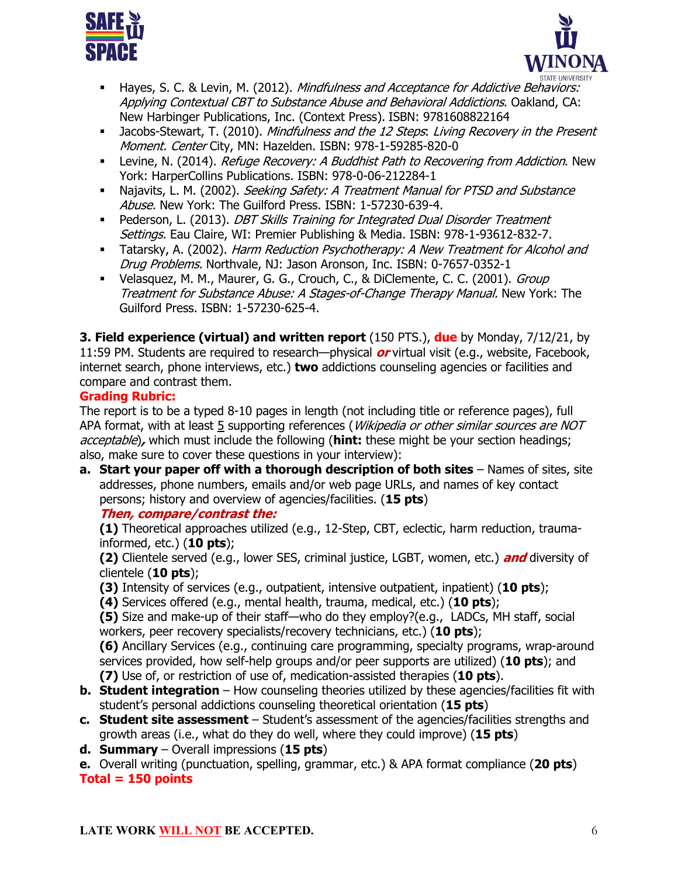



- <sup>■</sup> Hayes, S. C. & Levin, M. (2012). *Mindfulness and Acceptance for Addictive Behaviors:* Applying Contextual CBT to Substance Abuse and Behavioral Addictions. Oakland, CA: New Harbinger Publications, Inc. (Context Press). ISBN: 9781608822164
- <sup>■</sup> Jacobs-Stewart, T. (2010). *Mindfulness and the 12 Steps. Living Recovery in the Present* Moment. Center City, MN: Hazelden. ISBN: 978-1-59285-820-0
- **Levine, N. (2014).** *Refuge Recovery: A Buddhist Path to Recovering from Addiction.* New York: HarperCollins Publications. ISBN: 978-0-06-212284-1
- <sup>■</sup> Najavits, L. M. (2002). Seeking Safety: A Treatment Manual for PTSD and Substance Abuse. New York: The Guilford Press. ISBN: 1-57230-639-4.
- **Pederson, L. (2013). DBT Skills Training for Integrated Dual Disorder Treatment** Settings. Eau Claire, WI: Premier Publishing & Media. ISBN: 978-1-93612-832-7.
- **Tatarsky, A. (2002). Harm Reduction Psychotherapy: A New Treatment for Alcohol and** Drug Problems. Northvale, NJ: Jason Aronson, Inc. ISBN: 0-7657-0352-1
- Velasquez, M. M., Maurer, G. G., Crouch, C., & DiClemente, C. C. (2001). *Group* Treatment for Substance Abuse: A Stages-of-Change Therapy Manual. New York: The Guilford Press. ISBN: 1-57230-625-4.

**3. Field experience (virtual) and written report** (150 PTS.), **due** by Monday, 7/12/21, by 11:59 PM. Students are required to research—physical **or** virtual visit (e.g., website, Facebook, internet search, phone interviews, etc.) **two** addictions counseling agencies or facilities and compare and contrast them.

# **Grading Rubric:**

The report is to be a typed 8-10 pages in length (not including title or reference pages), full APA format, with at least 5 supporting references (*Wikipedia or other similar sources are NOT* acceptable)**,** which must include the following (**hint:** these might be your section headings; also, make sure to cover these questions in your interview):

**a. Start your paper off with a thorough description of both sites** – Names of sites, site addresses, phone numbers, emails and/or web page URLs, and names of key contact persons; history and overview of agencies/facilities. (**15 pts**)

# **Then, compare/contrast the:**

**(1)** Theoretical approaches utilized (e.g., 12-Step, CBT, eclectic, harm reduction, traumainformed, etc.) (**10 pts**);

**(2)** Clientele served (e.g., lower SES, criminal justice, LGBT, women, etc.) **and** diversity of clientele (**10 pts**);

- **(3)** Intensity of services (e.g., outpatient, intensive outpatient, inpatient) (**10 pts**);
- **(4)** Services offered (e.g., mental health, trauma, medical, etc.) (**10 pts**);

**(5)** Size and make-up of their staff—who do they employ?(e.g., LADCs, MH staff, social workers, peer recovery specialists/recovery technicians, etc.) (**10 pts**);

**(6)** Ancillary Services (e.g., continuing care programming, specialty programs, wrap-around services provided, how self-help groups and/or peer supports are utilized) (**10 pts**); and **(7)** Use of, or restriction of use of, medication-assisted therapies (**10 pts**).

- **b. Student integration** How counseling theories utilized by these agencies/facilities fit with student's personal addictions counseling theoretical orientation (**15 pts**)
- **c. Student site assessment** Student's assessment of the agencies/facilities strengths and growth areas (i.e., what do they do well, where they could improve) (**15 pts**)
- **d. Summary** Overall impressions (**15 pts**)

**e.** Overall writing (punctuation, spelling, grammar, etc.) & APA format compliance (**20 pts**) **Total = 150 points**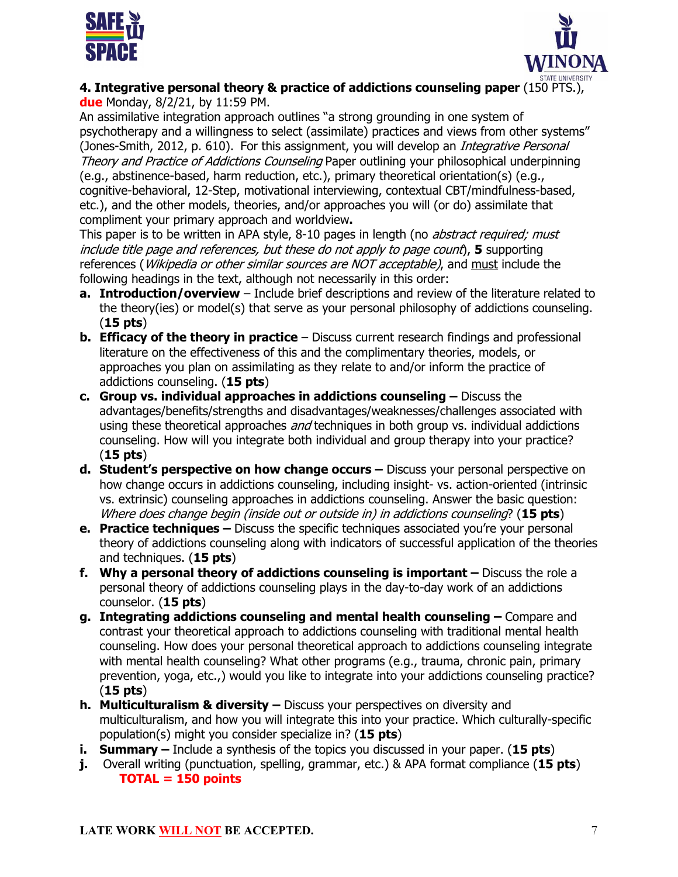



**4. Integrative personal theory & practice of addictions counseling paper** (150 PTS.), **due** Monday, 8/2/21, by 11:59 PM.

An assimilative integration approach outlines "a strong grounding in one system of psychotherapy and a willingness to select (assimilate) practices and views from other systems" (Jones-Smith, 2012, p. 610). For this assignment, you will develop an *Integrative Personal* Theory and Practice of Addictions Counseling Paper outlining your philosophical underpinning (e.g., abstinence-based, harm reduction, etc.), primary theoretical orientation(s) (e.g., cognitive-behavioral, 12-Step, motivational interviewing, contextual CBT/mindfulness-based, etc.), and the other models, theories, and/or approaches you will (or do) assimilate that compliment your primary approach and worldview**.**

This paper is to be written in APA style, 8-10 pages in length (no *abstract required; must* include title page and references, but these do not apply to page count), **5** supporting references (*Wikipedia or other similar sources are NOT acceptable)*, and must include the following headings in the text, although not necessarily in this order:

- **a. Introduction/overview** Include brief descriptions and review of the literature related to the theory(ies) or model(s) that serve as your personal philosophy of addictions counseling. (**15 pts**)
- **b. Efficacy of the theory in practice** Discuss current research findings and professional literature on the effectiveness of this and the complimentary theories, models, or approaches you plan on assimilating as they relate to and/or inform the practice of addictions counseling. (**15 pts**)
- **c. Group vs. individual approaches in addictions counseling –** Discuss the advantages/benefits/strengths and disadvantages/weaknesses/challenges associated with using these theoretical approaches *and* techniques in both group vs. individual addictions counseling. How will you integrate both individual and group therapy into your practice? (**15 pts**)
- **d. Student's perspective on how change occurs –** Discuss your personal perspective on how change occurs in addictions counseling, including insight- vs. action-oriented (intrinsic vs. extrinsic) counseling approaches in addictions counseling. Answer the basic question: Where does change begin (inside out or outside in) in addictions counseling? (**15 pts**)
- **e. Practice techniques –** Discuss the specific techniques associated you're your personal theory of addictions counseling along with indicators of successful application of the theories and techniques. (**15 pts**)
- **f. Why a personal theory of addictions counseling is important –** Discuss the role a personal theory of addictions counseling plays in the day-to-day work of an addictions counselor. (**15 pts**)
- **g. Integrating addictions counseling and mental health counseling –** Compare and contrast your theoretical approach to addictions counseling with traditional mental health counseling. How does your personal theoretical approach to addictions counseling integrate with mental health counseling? What other programs (e.g., trauma, chronic pain, primary prevention, yoga, etc.,) would you like to integrate into your addictions counseling practice? (**15 pts**)
- **h. Multiculturalism & diversity –** Discuss your perspectives on diversity and multiculturalism, and how you will integrate this into your practice. Which culturally-specific population(s) might you consider specialize in? (**15 pts**)
- **i. Summary –** Include a synthesis of the topics you discussed in your paper. (**15 pts**)
- **j.** Overall writing (punctuation, spelling, grammar, etc.) & APA format compliance (**15 pts**) **TOTAL = 150 points**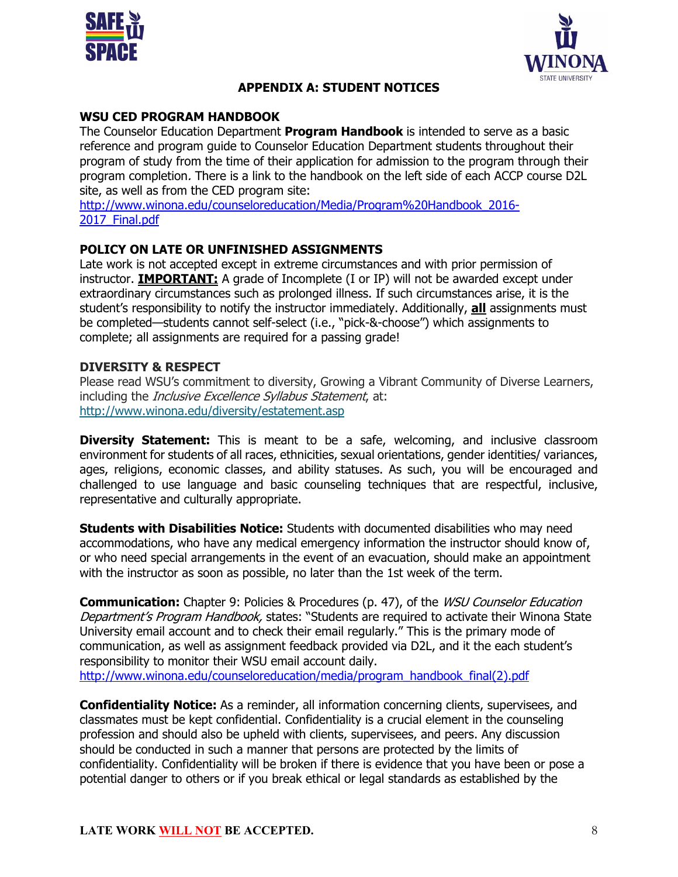



# **APPENDIX A: STUDENT NOTICES**

## **WSU CED PROGRAM HANDBOOK**

The Counselor Education Department **Program Handbook** is intended to serve as a basic reference and program guide to Counselor Education Department students throughout their program of study from the time of their application for admission to the program through their program completion. There is a link to the handbook on the left side of each ACCP course D2L site, as well as from the CED program site:

http://www.winona.edu/counseloreducation/Media/Program%20Handbook\_2016- 2017 Final.pdf

#### **POLICY ON LATE OR UNFINISHED ASSIGNMENTS**

Late work is not accepted except in extreme circumstances and with prior permission of instructor. **IMPORTANT:** A grade of Incomplete (I or IP) will not be awarded except under extraordinary circumstances such as prolonged illness. If such circumstances arise, it is the student's responsibility to notify the instructor immediately. Additionally, **all** assignments must be completed—students cannot self-select (i.e., "pick-&-choose") which assignments to complete; all assignments are required for a passing grade!

#### **DIVERSITY & RESPECT**

Please read WSU's commitment to diversity, Growing a Vibrant Community of Diverse Learners, including the *Inclusive Excellence Syllabus Statement*, at: http://www.winona.edu/diversity/estatement.asp

**Diversity Statement:** This is meant to be a safe, welcoming, and inclusive classroom environment for students of all races, ethnicities, sexual orientations, gender identities/ variances, ages, religions, economic classes, and ability statuses. As such, you will be encouraged and challenged to use language and basic counseling techniques that are respectful, inclusive, representative and culturally appropriate.

**Students with Disabilities Notice:** Students with documented disabilities who may need accommodations, who have any medical emergency information the instructor should know of, or who need special arrangements in the event of an evacuation, should make an appointment with the instructor as soon as possible, no later than the 1st week of the term.

**Communication:** Chapter 9: Policies & Procedures (p. 47), of the WSU Counselor Education Department's Program Handbook, states: "Students are required to activate their Winona State University email account and to check their email regularly." This is the primary mode of communication, as well as assignment feedback provided via D2L, and it the each student's responsibility to monitor their WSU email account daily. http://www.winona.edu/counseloreducation/media/program\_handbook\_final(2).pdf

**Confidentiality Notice:** As a reminder, all information concerning clients, supervisees, and classmates must be kept confidential. Confidentiality is a crucial element in the counseling profession and should also be upheld with clients, supervisees, and peers. Any discussion should be conducted in such a manner that persons are protected by the limits of confidentiality. Confidentiality will be broken if there is evidence that you have been or pose a potential danger to others or if you break ethical or legal standards as established by the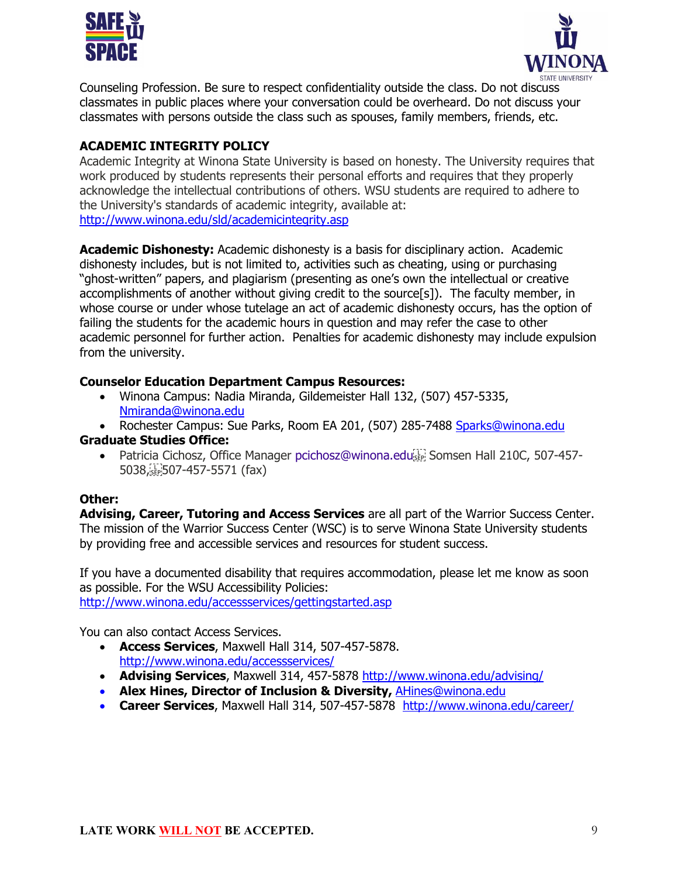



Counseling Profession. Be sure to respect confidentiality outside the class. Do not discuss classmates in public places where your conversation could be overheard. Do not discuss your classmates with persons outside the class such as spouses, family members, friends, etc.

# **ACADEMIC INTEGRITY POLICY**

Academic Integrity at Winona State University is based on honesty. The University requires that work produced by students represents their personal efforts and requires that they properly acknowledge the intellectual contributions of others. WSU students are required to adhere to the University's standards of academic integrity, available at: http://www.winona.edu/sld/academicintegrity.asp

**Academic Dishonesty:** Academic dishonesty is a basis for disciplinary action. Academic dishonesty includes, but is not limited to, activities such as cheating, using or purchasing "ghost-written" papers, and plagiarism (presenting as one's own the intellectual or creative accomplishments of another without giving credit to the source[s]). The faculty member, in whose course or under whose tutelage an act of academic dishonesty occurs, has the option of failing the students for the academic hours in question and may refer the case to other academic personnel for further action. Penalties for academic dishonesty may include expulsion from the university.

# **Counselor Education Department Campus Resources:**

- Winona Campus: Nadia Miranda, Gildemeister Hall 132, (507) 457-5335, Nmiranda@winona.edu
- Rochester Campus: Sue Parks, Room EA 201, (507) 285-7488 Sparks@winona.edu

#### **Graduate Studies Office:**

• Patricia Cichosz, Office Manager pcichosz@winona.edu 5038,
507-457-5571 (fax)

#### **Other:**

**Advising, Career, Tutoring and Access Services** are all part of the Warrior Success Center. The mission of the Warrior Success Center (WSC) is to serve Winona State University students by providing free and accessible services and resources for student success.

If you have a documented disability that requires accommodation, please let me know as soon as possible. For the WSU Accessibility Policies:

http://www.winona.edu/accessservices/gettingstarted.asp

You can also contact Access Services.

- **Access Services**, Maxwell Hall 314, 507-457-5878. http://www.winona.edu/accessservices/
- **Advising Services**, Maxwell 314, 457-5878 http://www.winona.edu/advising/
- **Alex Hines, Director of Inclusion & Diversity,** AHines@winona.edu
- **Career Services**, Maxwell Hall 314, 507-457-5878 http://www.winona.edu/career/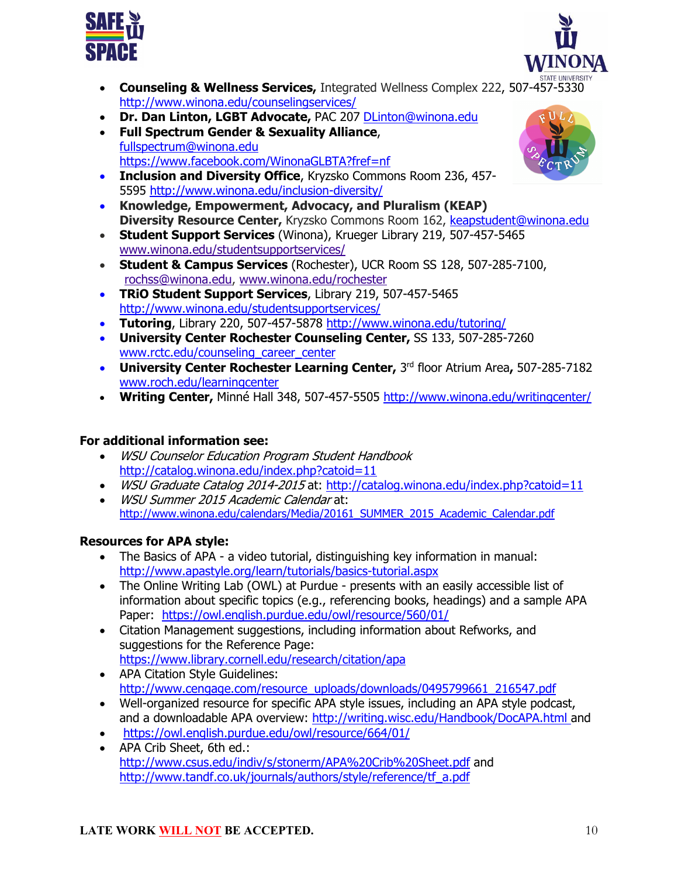



- **Counseling & Wellness Services,** Integrated Wellness Complex 222, 507-457-5330 http://www.winona.edu/counselingservices/
- **Dr. Dan Linton, LGBT Advocate,** PAC 207 DLinton@winona.edu
- **Full Spectrum Gender & Sexuality Alliance**, fullspectrum@winona.edu https://www.facebook.com/WinonaGLBTA?fref=nf
- **Inclusion and Diversity Office**, Kryzsko Commons Room 236, 457- 5595 http://www.winona.edu/inclusion-diversity/
- **Knowledge, Empowerment, Advocacy, and Pluralism (KEAP) Diversity Resource Center,** Kryzsko Commons Room 162, keapstudent@winona.edu
- **Student Support Services** (Winona), Krueger Library 219, 507-457-5465 www.winona.edu/studentsupportservices/
- **Student & Campus Services** (Rochester), UCR Room SS 128, 507-285-7100, rochss@winona.edu, www.winona.edu/rochester
- **TRiO Student Support Services**, Library 219, 507-457-5465 http://www.winona.edu/studentsupportservices/
- **Tutoring**, Library 220, 507-457-5878 http://www.winona.edu/tutoring/
- **University Center Rochester Counseling Center,** SS 133, 507-285-7260 www.rctc.edu/counseling\_career\_center
- **University Center Rochester Learning Center,** 3rd floor Atrium Area**,** 507-285-7182 www.roch.edu/learningcenter
- **Writing Center,** Minné Hall 348, 507-457-5505 http://www.winona.edu/writingcenter/

# **For additional information see:**

- WSU Counselor Education Program Student Handbook http://catalog.winona.edu/index.php?catoid=11
- WSU Graduate Catalog 2014-2015 at: http://catalog.winona.edu/index.php?catoid=11
- WSU Summer 2015 Academic Calendar at: http://www.winona.edu/calendars/Media/20161\_SUMMER\_2015\_Academic\_Calendar.pdf

# **Resources for APA style:**

- The Basics of APA a video tutorial, distinguishing key information in manual: http://www.apastyle.org/learn/tutorials/basics-tutorial.aspx
- The Online Writing Lab (OWL) at Purdue presents with an easily accessible list of information about specific topics (e.g., referencing books, headings) and a sample APA Paper: https://owl.english.purdue.edu/owl/resource/560/01/
- Citation Management suggestions, including information about Refworks, and suggestions for the Reference Page: https://www.library.cornell.edu/research/citation/apa
- APA Citation Style Guidelines: http://www.cengage.com/resource\_uploads/downloads/0495799661\_216547.pdf
- Well-organized resource for specific APA style issues, including an APA style podcast, and a downloadable APA overview: http://writing.wisc.edu/Handbook/DocAPA.html and
- https://owl.english.purdue.edu/owl/resource/664/01/
- APA Crib Sheet, 6th ed.: http://www.csus.edu/indiv/s/stonerm/APA%20Crib%20Sheet.pdf and http://www.tandf.co.uk/journals/authors/style/reference/tf\_a.pdf